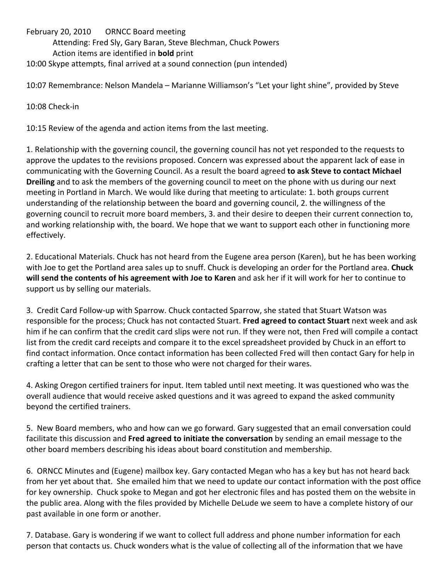February 20, 2010 ORNCC Board meeting Attending: Fred Sly, Gary Baran, Steve Blechman, Chuck Powers Action items are identified in **bold** print 10:00 Skype attempts, final arrived at a sound connection (pun intended)

10:07 Remembrance: Nelson Mandela – Marianne Williamson's "Let your light shine", provided by Steve

10:08 Check‐in

10:15 Review of the agenda and action items from the last meeting.

1. Relationship with the governing council, the governing council has not yet responded to the requests to approve the updates to the revisions proposed. Concern was expressed about the apparent lack of ease in communicating with the Governing Council. As a result the board agreed **to ask Steve to contact Michael Dreiling** and to ask the members of the governing council to meet on the phone with us during our next meeting in Portland in March. We would like during that meeting to articulate: 1. both groups current understanding of the relationship between the board and governing council, 2. the willingness of the governing council to recruit more board members, 3. and their desire to deepen their current connection to, and working relationship with, the board. We hope that we want to support each other in functioning more effectively.

2. Educational Materials. Chuck has not heard from the Eugene area person (Karen), but he has been working with Joe to get the Portland area sales up to snuff. Chuck is developing an order for the Portland area. **Chuck will send the contents of his agreement with Joe to Karen** and ask her if it will work for her to continue to support us by selling our materials.

3. Credit Card Follow‐up with Sparrow. Chuck contacted Sparrow, she stated that Stuart Watson was responsible for the process; Chuck has not contacted Stuart. **Fred agreed to contact Stuart** next week and ask him if he can confirm that the credit card slips were not run. If they were not, then Fred will compile a contact list from the credit card receipts and compare it to the excel spreadsheet provided by Chuck in an effort to find contact information. Once contact information has been collected Fred will then contact Gary for help in crafting a letter that can be sent to those who were not charged for their wares.

4. Asking Oregon certified trainers for input. Item tabled until next meeting. It was questioned who was the overall audience that would receive asked questions and it was agreed to expand the asked community beyond the certified trainers.

5. New Board members, who and how can we go forward. Gary suggested that an email conversation could facilitate this discussion and **Fred agreed to initiate the conversation** by sending an email message to the other board members describing his ideas about board constitution and membership.

6. ORNCC Minutes and (Eugene) mailbox key. Gary contacted Megan who has a key but has not heard back from her yet about that. She emailed him that we need to update our contact information with the post office for key ownership. Chuck spoke to Megan and got her electronic files and has posted them on the website in the public area. Along with the files provided by Michelle DeLude we seem to have a complete history of our past available in one form or another.

7. Database. Gary is wondering if we want to collect full address and phone number information for each person that contacts us. Chuck wonders what is the value of collecting all of the information that we have